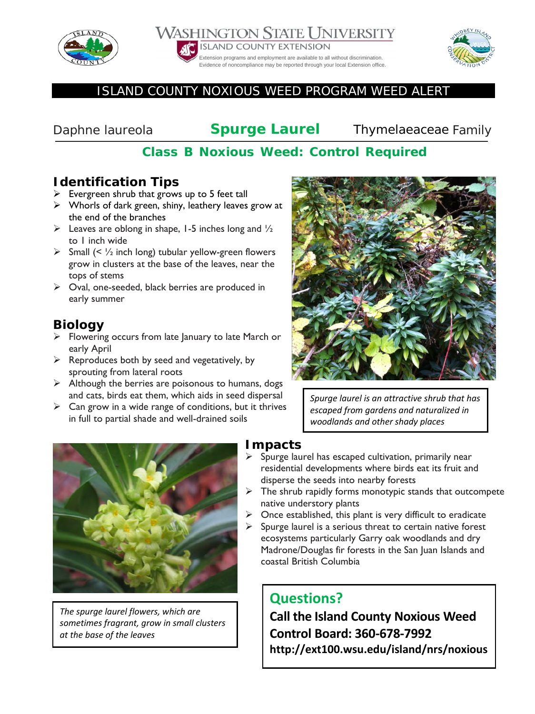





#### ISLAND COUNTY NOXIOUS WEED PROGRAM WEED ALERT

*Daphne laureola* **Spurge Laurel** Thymelaeaceae Family

## **Class B Noxious Weed: Control Required**

## **Identification Tips**

- $\triangleright$  Evergreen shrub that grows up to 5 feet tall
- $\triangleright$  Whorls of dark green, shiny, leathery leaves grow at the end of the branches
- $\triangleright$  Leaves are oblong in shape, 1-5 inches long and  $\frac{1}{2}$ to 1 inch wide
- $\triangleright$  Small (<  $\frac{1}{2}$  inch long) tubular yellow-green flowers grow in clusters at the base of the leaves, near the tops of stems
- $\triangleright$  Oval, one-seeded, black berries are produced in early summer

## **Biology**

- $\triangleright$  Flowering occurs from late January to late March or early April
- $\triangleright$  Reproduces both by seed and vegetatively, by sprouting from lateral roots
- $\triangleright$  Although the berries are poisonous to humans, dogs and cats, birds eat them, which aids in seed dispersal
- $\triangleright$  Can grow in a wide range of conditions, but it thrives in full to partial shade and well-drained soils



*Spurge laurel is an attractive shrub that has escaped from gardens and naturalized in woodlands and other shady places*



*The spurge laurel flowers, which are sometimes fragrant, grow in small clusters at the base of the leaves*

## **Impacts**

- $\triangleright$  Spurge laurel has escaped cultivation, primarily near residential developments where birds eat its fruit and disperse the seeds into nearby forests
- $\triangleright$  The shrub rapidly forms monotypic stands that outcompete native understory plants
- $\triangleright$  Once established, this plant is very difficult to eradicate
- $\triangleright$  Spurge laurel is a serious threat to certain native forest ecosystems particularly Garry oak woodlands and dry Madrone/Douglas fir forests in the San Juan Islands and coastal British Columbia

# **Questions?**

**Call the Island County Noxious Weed Control Board: 360-678-7992 http://ext100.wsu.edu/island/nrs/noxious**